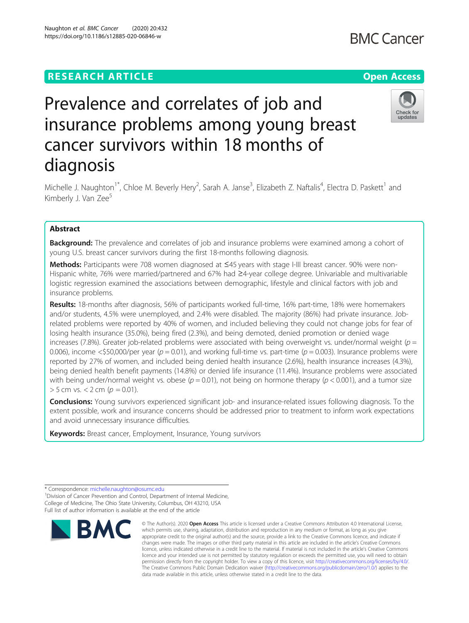# **RESEARCH ARTICLE Example 2014 12:30 The Open Access**

# Prevalence and correlates of job and insurance problems among young breast cancer survivors within 18 months of diagnosis

Michelle J. Naughton<sup>1\*</sup>, Chloe M. Beverly Hery<sup>2</sup>, Sarah A. Janse<sup>3</sup>, Elizabeth Z. Naftalis<sup>4</sup>, Electra D. Paskett<sup>1</sup> and Kimberly J. Van Zee<sup>5</sup>

# Abstract

**Background:** The prevalence and correlates of job and insurance problems were examined among a cohort of young U.S. breast cancer survivors during the first 18-months following diagnosis.

Methods: Participants were 708 women diagnosed at ≤45 years with stage I-III breast cancer. 90% were non-Hispanic white, 76% were married/partnered and 67% had ≥4-year college degree. Univariable and multivariable logistic regression examined the associations between demographic, lifestyle and clinical factors with job and insurance problems.

Results: 18-months after diagnosis, 56% of participants worked full-time, 16% part-time, 18% were homemakers and/or students, 4.5% were unemployed, and 2.4% were disabled. The majority (86%) had private insurance. Jobrelated problems were reported by 40% of women, and included believing they could not change jobs for fear of losing health insurance (35.0%), being fired (2.3%), and being demoted, denied promotion or denied wage increases (7.8%). Greater job-related problems were associated with being overweight vs. under/normal weight ( $p =$ 0.006), income <\$50,000/per year ( $p = 0.01$ ), and working full-time vs. part-time ( $p = 0.003$ ). Insurance problems were reported by 27% of women, and included being denied health insurance (2.6%), health insurance increases (4.3%), being denied health benefit payments (14.8%) or denied life insurance (11.4%). Insurance problems were associated with being under/normal weight vs. obese ( $p = 0.01$ ), not being on hormone therapy ( $p < 0.001$ ), and a tumor size  $>$  5 cm vs. < 2 cm ( $p = 0.01$ ).

**Conclusions:** Young survivors experienced significant job- and insurance-related issues following diagnosis. To the extent possible, work and insurance concerns should be addressed prior to treatment to inform work expectations and avoid unnecessary insurance difficulties.

Keywords: Breast cancer, Employment, Insurance, Young survivors







<sup>©</sup> The Author(s), 2020 **Open Access** This article is licensed under a Creative Commons Attribution 4.0 International License, which permits use, sharing, adaptation, distribution and reproduction in any medium or format, as long as you give appropriate credit to the original author(s) and the source, provide a link to the Creative Commons licence, and indicate if changes were made. The images or other third party material in this article are included in the article's Creative Commons licence, unless indicated otherwise in a credit line to the material. If material is not included in the article's Creative Commons licence and your intended use is not permitted by statutory regulation or exceeds the permitted use, you will need to obtain permission directly from the copyright holder. To view a copy of this licence, visit [http://creativecommons.org/licenses/by/4.0/.](http://creativecommons.org/licenses/by/4.0/) The Creative Commons Public Domain Dedication waiver [\(http://creativecommons.org/publicdomain/zero/1.0/](http://creativecommons.org/publicdomain/zero/1.0/)) applies to the data made available in this article, unless otherwise stated in a credit line to the data.

<sup>\*</sup> Correspondence: [michelle.naughton@osumc.edu](mailto:michelle.naughton@osumc.edu) <sup>1</sup>

<sup>&</sup>lt;sup>1</sup> Division of Cancer Prevention and Control, Department of Internal Medicine, College of Medicine, The Ohio State University, Columbus, OH 43210, USA Full list of author information is available at the end of the article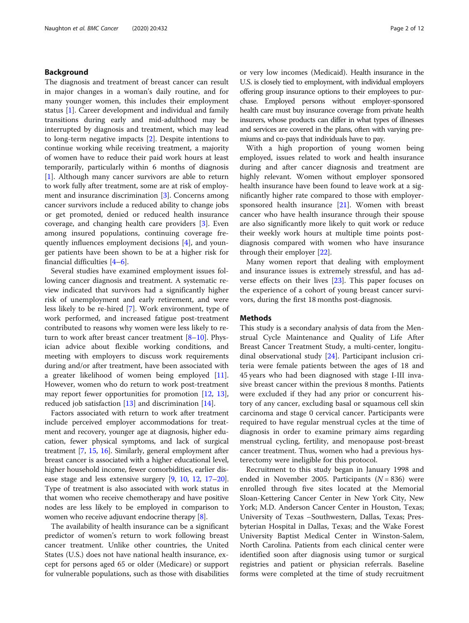# Background

The diagnosis and treatment of breast cancer can result in major changes in a woman's daily routine, and for many younger women, this includes their employment status [[1\]](#page-10-0). Career development and individual and family transitions during early and mid-adulthood may be interrupted by diagnosis and treatment, which may lead to long-term negative impacts [\[2](#page-10-0)]. Despite intentions to continue working while receiving treatment, a majority of women have to reduce their paid work hours at least temporarily, particularly within 6 months of diagnosis [[1\]](#page-10-0). Although many cancer survivors are able to return to work fully after treatment, some are at risk of employment and insurance discrimination [\[3](#page-10-0)]. Concerns among cancer survivors include a reduced ability to change jobs or get promoted, denied or reduced health insurance coverage, and changing health care providers [\[3](#page-10-0)]. Even among insured populations, continuing coverage frequently influences employment decisions [\[4](#page-10-0)], and younger patients have been shown to be at a higher risk for financial difficulties [[4](#page-10-0)–[6](#page-10-0)].

Several studies have examined employment issues following cancer diagnosis and treatment. A systematic review indicated that survivors had a significantly higher risk of unemployment and early retirement, and were less likely to be re-hired [\[7](#page-10-0)]. Work environment, type of work performed, and increased fatigue post-treatment contributed to reasons why women were less likely to return to work after breast cancer treatment [[8](#page-10-0)–[10](#page-10-0)]. Physician advice about flexible working conditions, and meeting with employers to discuss work requirements during and/or after treatment, have been associated with a greater likelihood of women being employed [\[11](#page-11-0)]. However, women who do return to work post-treatment may report fewer opportunities for promotion [\[12](#page-11-0), [13](#page-11-0)], reduced job satisfaction [[13](#page-11-0)] and discrimination [[14](#page-11-0)].

Factors associated with return to work after treatment include perceived employer accommodations for treatment and recovery, younger age at diagnosis, higher education, fewer physical symptoms, and lack of surgical treatment [\[7](#page-10-0), [15](#page-11-0), [16](#page-11-0)]. Similarly, general employment after breast cancer is associated with a higher educational level, higher household income, fewer comorbidities, earlier disease stage and less extensive surgery [\[9,](#page-10-0) [10,](#page-10-0) [12,](#page-11-0) [17](#page-11-0)–[20](#page-11-0)]. Type of treatment is also associated with work status in that women who receive chemotherapy and have positive nodes are less likely to be employed in comparison to women who receive adjuvant endocrine therapy [[8\]](#page-10-0).

The availability of health insurance can be a significant predictor of women's return to work following breast cancer treatment. Unlike other countries, the United States (U.S.) does not have national health insurance, except for persons aged 65 or older (Medicare) or support for vulnerable populations, such as those with disabilities or very low incomes (Medicaid). Health insurance in the U.S. is closely tied to employment, with individual employers offering group insurance options to their employees to purchase. Employed persons without employer-sponsored health care must buy insurance coverage from private health insurers, whose products can differ in what types of illnesses and services are covered in the plans, often with varying premiums and co-pays that individuals have to pay.

With a high proportion of young women being employed, issues related to work and health insurance during and after cancer diagnosis and treatment are highly relevant. Women without employer sponsored health insurance have been found to leave work at a significantly higher rate compared to those with employersponsored health insurance  $[21]$ . Women with breast cancer who have health insurance through their spouse are also significantly more likely to quit work or reduce their weekly work hours at multiple time points postdiagnosis compared with women who have insurance through their employer [\[22](#page-11-0)].

Many women report that dealing with employment and insurance issues is extremely stressful, and has adverse effects on their lives [\[23](#page-11-0)]. This paper focuses on the experience of a cohort of young breast cancer survivors, during the first 18 months post-diagnosis.

# **Methods**

This study is a secondary analysis of data from the Menstrual Cycle Maintenance and Quality of Life After Breast Cancer Treatment Study, a multi-center, longitudinal observational study [[24\]](#page-11-0). Participant inclusion criteria were female patients between the ages of 18 and 45 years who had been diagnosed with stage I-III invasive breast cancer within the previous 8 months. Patients were excluded if they had any prior or concurrent history of any cancer, excluding basal or squamous cell skin carcinoma and stage 0 cervical cancer. Participants were required to have regular menstrual cycles at the time of diagnosis in order to examine primary aims regarding menstrual cycling, fertility, and menopause post-breast cancer treatment. Thus, women who had a previous hysterectomy were ineligible for this protocol.

Recruitment to this study began in January 1998 and ended in November 2005. Participants ( $N = 836$ ) were enrolled through five sites located at the Memorial Sloan-Kettering Cancer Center in New York City, New York; M.D. Anderson Cancer Center in Houston, Texas; University of Texas –Southwestern, Dallas, Texas; Presbyterian Hospital in Dallas, Texas; and the Wake Forest University Baptist Medical Center in Winston-Salem, North Carolina. Patients from each clinical center were identified soon after diagnosis using tumor or surgical registries and patient or physician referrals. Baseline forms were completed at the time of study recruitment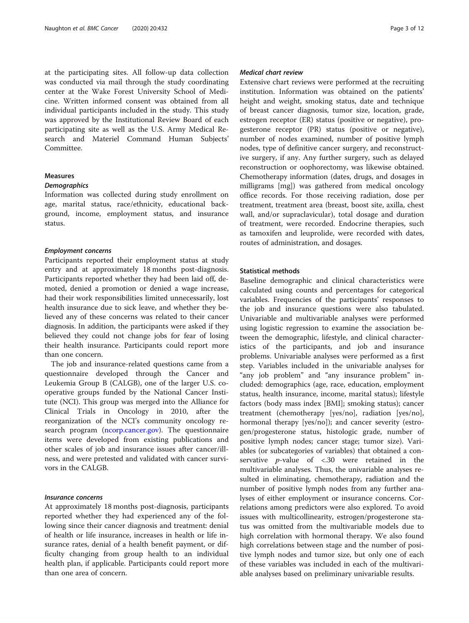at the participating sites. All follow-up data collection was conducted via mail through the study coordinating center at the Wake Forest University School of Medicine. Written informed consent was obtained from all individual participants included in the study. This study was approved by the Institutional Review Board of each participating site as well as the U.S. Army Medical Research and Materiel Command Human Subjects' Committee.

# Measures

#### **Demographics**

Information was collected during study enrollment on age, marital status, race/ethnicity, educational background, income, employment status, and insurance status.

#### Employment concerns

Participants reported their employment status at study entry and at approximately 18 months post-diagnosis. Participants reported whether they had been laid off, demoted, denied a promotion or denied a wage increase, had their work responsibilities limited unnecessarily, lost health insurance due to sick leave, and whether they believed any of these concerns was related to their cancer diagnosis. In addition, the participants were asked if they believed they could not change jobs for fear of losing their health insurance. Participants could report more than one concern.

The job and insurance-related questions came from a questionnaire developed through the Cancer and Leukemia Group B (CALGB), one of the larger U.S. cooperative groups funded by the National Cancer Institute (NCI). This group was merged into the Alliance for Clinical Trials in Oncology in 2010, after the reorganization of the NCI's community oncology research program ([ncorp.cancer.gov\)](http://ncorp.cancer.gov). The questionnaire items were developed from existing publications and other scales of job and insurance issues after cancer/illness, and were pretested and validated with cancer survivors in the CALGB.

# Insurance concerns

At approximately 18 months post-diagnosis, participants reported whether they had experienced any of the following since their cancer diagnosis and treatment: denial of health or life insurance, increases in health or life insurance rates, denial of a health benefit payment, or difficulty changing from group health to an individual health plan, if applicable. Participants could report more than one area of concern.

# Medical chart review

Extensive chart reviews were performed at the recruiting institution. Information was obtained on the patients' height and weight, smoking status, date and technique of breast cancer diagnosis, tumor size, location, grade, estrogen receptor (ER) status (positive or negative), progesterone receptor (PR) status (positive or negative), number of nodes examined, number of positive lymph nodes, type of definitive cancer surgery, and reconstructive surgery, if any. Any further surgery, such as delayed reconstruction or oophorectomy, was likewise obtained. Chemotherapy information (dates, drugs, and dosages in milligrams [mg]) was gathered from medical oncology office records. For those receiving radiation, dose per treatment, treatment area (breast, boost site, axilla, chest wall, and/or supraclavicular), total dosage and duration of treatment, were recorded. Endocrine therapies, such as tamoxifen and leuprolide, were recorded with dates, routes of administration, and dosages.

# Statistical methods

Baseline demographic and clinical characteristics were calculated using counts and percentages for categorical variables. Frequencies of the participants' responses to the job and insurance questions were also tabulated. Univariable and multivariable analyses were performed using logistic regression to examine the association between the demographic, lifestyle, and clinical characteristics of the participants, and job and insurance problems. Univariable analyses were performed as a first step. Variables included in the univariable analyses for "any job problem" and "any insurance problem" included: demographics (age, race, education, employment status, health insurance, income, marital status); lifestyle factors (body mass index [BMI]; smoking status); cancer treatment (chemotherapy [yes/no], radiation [yes/no], hormonal therapy [yes/no]); and cancer severity (estrogen/progesterone status, histologic grade, number of positive lymph nodes; cancer stage; tumor size). Variables (or subcategories of variables) that obtained a conservative  $p$ -value of <.30 were retained in the multivariable analyses. Thus, the univariable analyses resulted in eliminating, chemotherapy, radiation and the number of positive lymph nodes from any further analyses of either employment or insurance concerns. Correlations among predictors were also explored. To avoid issues with multicollinearity, estrogen/progesterone status was omitted from the multivariable models due to high correlation with hormonal therapy. We also found high correlations between stage and the number of positive lymph nodes and tumor size, but only one of each of these variables was included in each of the multivariable analyses based on preliminary univariable results.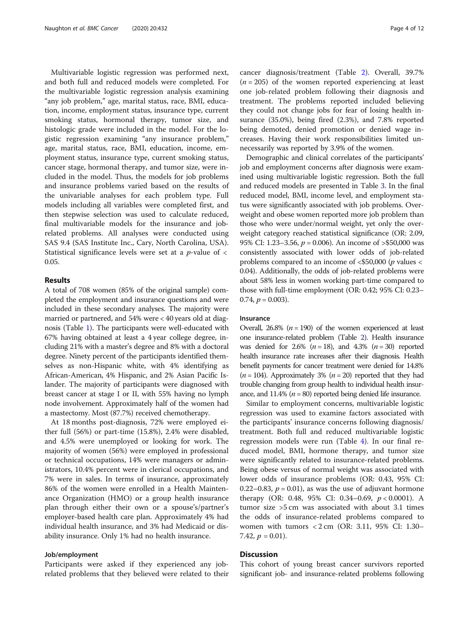Multivariable logistic regression was performed next, and both full and reduced models were completed. For the multivariable logistic regression analysis examining "any job problem," age, marital status, race, BMI, education, income, employment status, insurance type, current smoking status, hormonal therapy, tumor size, and histologic grade were included in the model. For the logistic regression examining "any insurance problem," age, marital status, race, BMI, education, income, employment status, insurance type, current smoking status, cancer stage, hormonal therapy, and tumor size, were included in the model. Thus, the models for job problems and insurance problems varied based on the results of the univariable analyses for each problem type. Full models including all variables were completed first, and then stepwise selection was used to calculate reduced, final multivariable models for the insurance and jobrelated problems. All analyses were conducted using SAS 9.4 (SAS Institute Inc., Cary, North Carolina, USA). Statistical significance levels were set at a  $p$ -value of  $\lt$ 0.05.

# Results

A total of 708 women (85% of the original sample) completed the employment and insurance questions and were included in these secondary analyses. The majority were married or partnered, and 54% were < 40 years old at diagnosis (Table [1](#page-4-0)). The participants were well-educated with 67% having obtained at least a 4 year college degree, including 21% with a master's degree and 8% with a doctoral degree. Ninety percent of the participants identified themselves as non-Hispanic white, with 4% identifying as African-American, 4% Hispanic, and 2% Asian Pacific Islander. The majority of participants were diagnosed with breast cancer at stage I or II, with 55% having no lymph node involvement. Approximately half of the women had a mastectomy. Most (87.7%) received chemotherapy.

At 18 months post-diagnosis, 72% were employed either full (56%) or part-time (15.8%), 2.4% were disabled, and 4.5% were unemployed or looking for work. The majority of women (56%) were employed in professional or technical occupations, 14% were managers or administrators, 10.4% percent were in clerical occupations, and 7% were in sales. In terms of insurance, approximately 86% of the women were enrolled in a Health Maintenance Organization (HMO) or a group health insurance plan through either their own or a spouse's/partner's employer-based health care plan. Approximately 4% had individual health insurance, and 3% had Medicaid or disability insurance. Only 1% had no health insurance.

#### Job/employment

Participants were asked if they experienced any jobrelated problems that they believed were related to their cancer diagnosis/treatment (Table [2](#page-6-0)). Overall, 39.7%  $(n = 205)$  of the women reported experiencing at least one job-related problem following their diagnosis and treatment. The problems reported included believing they could not change jobs for fear of losing health insurance (35.0%), being fired (2.3%), and 7.8% reported being demoted, denied promotion or denied wage increases. Having their work responsibilities limited unnecessarily was reported by 3.9% of the women.

Demographic and clinical correlates of the participants' job and employment concerns after diagnosis were examined using multivariable logistic regression. Both the full and reduced models are presented in Table [3.](#page-7-0) In the final reduced model, BMI, income level, and employment status were significantly associated with job problems. Overweight and obese women reported more job problem than those who were under/normal weight, yet only the overweight category reached statistical significance (OR: 2.09, 95% CI: 1.23–3.56,  $p = 0.006$ ). An income of >\$50,000 was consistently associated with lower odds of job-related problems compared to an income of  $< $50,000$  (p values  $<$ 0.04). Additionally, the odds of job-related problems were about 58% less in women working part-time compared to those with full-time employment (OR: 0.42; 95% CI: 0.23– 0.74,  $p = 0.003$ ).

#### Insurance

Overall, 26.8% ( $n = 190$ ) of the women experienced at least one insurance-related problem (Table [2\)](#page-6-0). Health insurance was denied for 2.6%  $(n = 18)$ , and 4.3%  $(n = 30)$  reported health insurance rate increases after their diagnosis. Health benefit payments for cancer treatment were denied for 14.8%  $(n = 104)$ . Approximately 3%  $(n = 20)$  reported that they had trouble changing from group health to individual health insurance, and  $11.4\%$  ( $n = 80$ ) reported being denied life insurance.

Similar to employment concerns, multivariable logistic regression was used to examine factors associated with the participants' insurance concerns following diagnosis/ treatment. Both full and reduced multivariable logistic regression models were run (Table [4\)](#page-9-0). In our final reduced model, BMI, hormone therapy, and tumor size were significantly related to insurance-related problems. Being obese versus of normal weight was associated with lower odds of insurance problems (OR: 0.43, 95% CI: 0.22–0.83,  $p = 0.01$ ), as was the use of adjuvant hormone therapy (OR: 0.48, 95% CI: 0.34–0.69,  $p < 0.0001$ ). A tumor size >5 cm was associated with about 3.1 times the odds of insurance-related problems compared to women with tumors < 2 cm (OR: 3.11, 95% CI: 1.30– 7.42,  $p = 0.01$ ).

# **Discussion**

This cohort of young breast cancer survivors reported significant job- and insurance-related problems following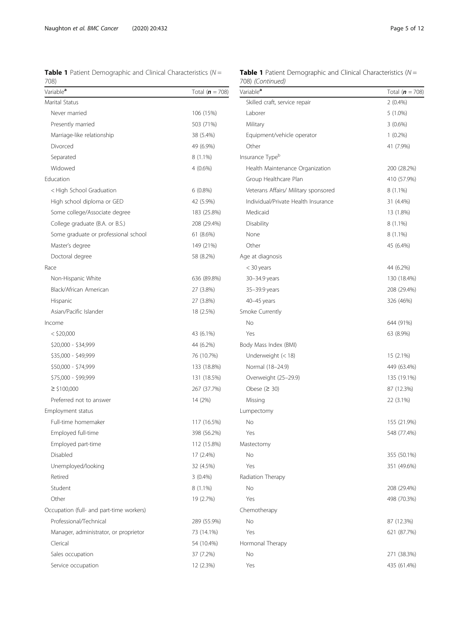<span id="page-4-0"></span>**Table 1** Patient Demographic and Clinical Characteristics ( $N =$ 708)

| Table 1 Patient Demographic and Clinical Characteristics (N = |
|---------------------------------------------------------------|
| 708) (Continued)                                              |
|                                                               |

| Variable <sup>a</sup>                    | Total ( $n = 708$ ) |
|------------------------------------------|---------------------|
| Marital Status                           |                     |
| Never married                            | 106 (15%)           |
| Presently married                        | 503 (71%)           |
| Marriage-like relationship               | 38 (5.4%)           |
| Divorced                                 | 49 (6.9%)           |
| Separated                                | $8(1.1\%)$          |
| Widowed                                  | $4(0.6\%)$          |
| Education                                |                     |
| < High School Graduation                 | $6(0.8\%)$          |
| High school diploma or GED               | 42 (5.9%)           |
| Some college/Associate degree            | 183 (25.8%)         |
| College graduate (B.A. or B.S.)          | 208 (29.4%)         |
| Some graduate or professional school     | 61 (8.6%)           |
| Master's degree                          | 149 (21%)           |
| Doctoral degree                          | 58 (8.2%)           |
| Race                                     |                     |
| Non-Hispanic White                       | 636 (89.8%)         |
| Black/African American                   | 27 (3.8%)           |
| Hispanic                                 | 27 (3.8%)           |
| Asian/Pacific Islander                   | 18 (2.5%)           |
| Income                                   |                     |
| $<$ \$20,000                             | 43 (6.1%)           |
| \$20,000 - \$34,999                      | 44 (6.2%)           |
| \$35,000 - \$49,999                      | 76 (10.7%)          |
| \$50,000 - \$74,999                      | 133 (18.8%)         |
| \$75,000 - \$99,999                      | 131 (18.5%)         |
| $\geq$ \$100,000                         | 267 (37.7%)         |
| Preferred not to answer                  | 14 (2%)             |
| Employment status                        |                     |
| Full-time homemaker                      | 117 (16.5%)         |
| Employed full-time                       | 398 (56.2%)         |
| Employed part-time                       | 112 (15.8%)         |
| Disabled                                 | 17 (2.4%)           |
| Unemployed/looking                       | 32 (4.5%)           |
| Retired                                  | $3(0.4\%)$          |
| Student                                  | $8(1.1\%)$          |
| Other                                    | 19 (2.7%)           |
| Occupation (full- and part-time workers) |                     |
| Professional/Technical                   | 289 (55.9%)         |
| Manager, administrator, or proprietor    | 73 (14.1%)          |
| Clerical                                 | 54 (10.4%)          |
| Sales occupation                         | 37 (7.2%)           |
| Service occupation                       | 12 (2.3%)           |

| 2(0.4%)<br>5 (1.0%)<br>$3(0.6\%)$<br>$1(0.2\%)$<br>41 (7.9%)<br>200 (28.2%)<br>410 (57.9%)<br>8 (1.1%)<br>31 (4.4%)<br>13 (1.8%) |
|----------------------------------------------------------------------------------------------------------------------------------|
|                                                                                                                                  |
|                                                                                                                                  |
|                                                                                                                                  |
|                                                                                                                                  |
|                                                                                                                                  |
|                                                                                                                                  |
|                                                                                                                                  |
|                                                                                                                                  |
|                                                                                                                                  |
|                                                                                                                                  |
|                                                                                                                                  |
| 8 (1.1%)                                                                                                                         |
| 8 (1.1%)                                                                                                                         |
| 45 (6.4%)                                                                                                                        |
|                                                                                                                                  |
| 44 (6.2%)                                                                                                                        |
| 130 (18.4%)                                                                                                                      |
| 208 (29.4%)                                                                                                                      |
| 326 (46%)                                                                                                                        |
|                                                                                                                                  |
| 644 (91%)                                                                                                                        |
| 63 (8.9%)                                                                                                                        |
|                                                                                                                                  |
| 15 (2.1%)                                                                                                                        |
| 449 (63.4%)                                                                                                                      |
| 135 (19.1%)                                                                                                                      |
| 87 (12.3%)                                                                                                                       |
| 22 (3.1%)                                                                                                                        |
|                                                                                                                                  |
| 155 (21.9%)                                                                                                                      |
| 548 (77.4%)                                                                                                                      |
|                                                                                                                                  |
| 355 (50.1%)                                                                                                                      |
| 351 (49.6%)                                                                                                                      |
|                                                                                                                                  |
| 208 (29.4%)                                                                                                                      |
| 498 (70.3%)                                                                                                                      |
|                                                                                                                                  |
| 87 (12.3%)                                                                                                                       |
| 621 (87.7%)                                                                                                                      |
|                                                                                                                                  |
| 271 (38.3%)                                                                                                                      |
|                                                                                                                                  |
|                                                                                                                                  |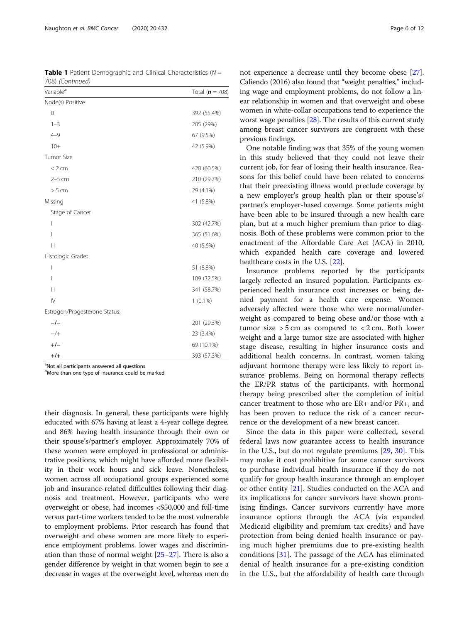<sup>a</sup>Not all participants answered all questions

their diagnosis. In general, these participants were highly educated with 67% having at least a 4-year college degree, and 86% having health insurance through their own or their spouse's/partner's employer. Approximately 70% of these women were employed in professional or administrative positions, which might have afforded more flexibility in their work hours and sick leave. Nonetheless, women across all occupational groups experienced some job and insurance-related difficulties following their diagnosis and treatment. However, participants who were overweight or obese, had incomes <\$50,000 and full-time versus part-time workers tended to be the most vulnerable to employment problems. Prior research has found that overweight and obese women are more likely to experience employment problems, lower wages and discrimination than those of normal weight [\[25](#page-11-0)–[27](#page-11-0)]. There is also a gender difference by weight in that women begin to see a decrease in wages at the overweight level, whereas men do

**Table 1** Patient Demographic and Clinical Characteristics ( $N =$ 708) (Continued)

| Variable <sup>a</sup>         | Total $(n = 708)$ |
|-------------------------------|-------------------|
| Node(s) Positive              |                   |
| $\mathbf 0$                   | 392 (55.4%)       |
| $1 - 3$                       | 205 (29%)         |
| $4 - 9$                       | 67 (9.5%)         |
| $10+$                         | 42 (5.9%)         |
| Tumor Size                    |                   |
| < 2 cm                        | 428 (60.5%)       |
| $2-5$ cm                      | 210 (29.7%)       |
| > 5 cm                        | 29 (4.1%)         |
| Missing                       | 41 (5.8%)         |
| Stage of Cancer               |                   |
| $\overline{1}$                | 302 (42.7%)       |
| $\mathbf{  }$                 | 365 (51.6%)       |
| $\mathbb{H}$                  | 40 (5.6%)         |
| Histologic Grade:             |                   |
| $\overline{1}$                | 51 (8.8%)         |
| $\mathsf{II}$                 | 189 (32.5%)       |
| $\mathbb{H}$                  | 341 (58.7%)       |
| $\mathsf{IV}$                 | $1(0.1\%)$        |
| Estrogen/Progesterone Status: |                   |
| $-/-$                         | 201 (29.3%)       |
| $-/+$                         | 23 (3.4%)         |
| $+/-$                         | 69 (10.1%)        |
| $+/-$                         | 393 (57.3%)       |

<sup>b</sup>More than one type of insurance could be marked

not experience a decrease until they become obese [[27](#page-11-0)]. Caliendo (2016) also found that "weight penalties," including wage and employment problems, do not follow a linear relationship in women and that overweight and obese women in white-collar occupations tend to experience the worst wage penalties [[28\]](#page-11-0). The results of this current study among breast cancer survivors are congruent with these previous findings.

One notable finding was that 35% of the young women in this study believed that they could not leave their current job, for fear of losing their health insurance. Reasons for this belief could have been related to concerns that their preexisting illness would preclude coverage by a new employer's group health plan or their spouse's/ partner's employer-based coverage. Some patients might have been able to be insured through a new health care plan, but at a much higher premium than prior to diagnosis. Both of these problems were common prior to the enactment of the Affordable Care Act (ACA) in 2010, which expanded health care coverage and lowered healthcare costs in the U.S. [\[22](#page-11-0)].

Insurance problems reported by the participants largely reflected an insured population. Participants experienced health insurance cost increases or being denied payment for a health care expense. Women adversely affected were those who were normal/underweight as compared to being obese and/or those with a tumor size  $>$  5 cm as compared to  $<$  2 cm. Both lower weight and a large tumor size are associated with higher stage disease, resulting in higher insurance costs and additional health concerns. In contrast, women taking adjuvant hormone therapy were less likely to report insurance problems. Being on hormonal therapy reflects the ER/PR status of the participants, with hormonal therapy being prescribed after the completion of initial cancer treatment to those who are ER+ and/or PR+, and has been proven to reduce the risk of a cancer recurrence or the development of a new breast cancer.

Since the data in this paper were collected, several federal laws now guarantee access to health insurance in the U.S., but do not regulate premiums [\[29](#page-11-0), [30\]](#page-11-0). This may make it cost prohibitive for some cancer survivors to purchase individual health insurance if they do not qualify for group health insurance through an employer or other entity [[21\]](#page-11-0). Studies conducted on the ACA and its implications for cancer survivors have shown promising findings. Cancer survivors currently have more insurance options through the ACA (via expanded Medicaid eligibility and premium tax credits) and have protection from being denied health insurance or paying much higher premiums due to pre-existing health conditions [[31\]](#page-11-0). The passage of the ACA has eliminated denial of health insurance for a pre-existing condition in the U.S., but the affordability of health care through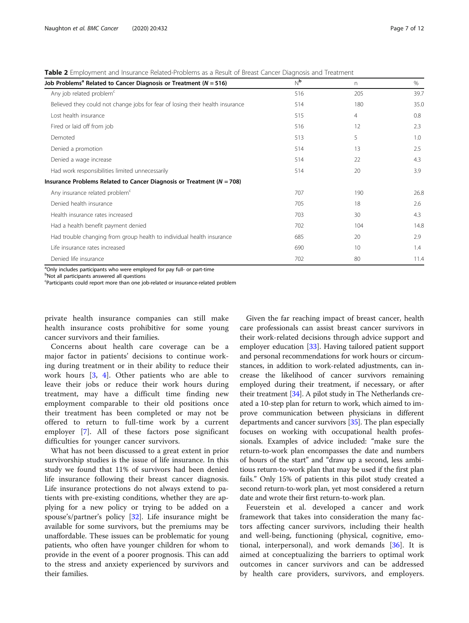<span id="page-6-0"></span>Table 2 Employment and Insurance Related-Problems as a Result of Breast Cancer Diagnosis and Treatment

| Job Problems <sup>a</sup> Related to Cancer Diagnosis or Treatment ( $N = 516$ ) | $\mathbb{N}^{\mathsf{b}}$ | n              | %    |
|----------------------------------------------------------------------------------|---------------------------|----------------|------|
| Any job related problem <sup>c</sup>                                             | 516                       | 205            | 39.7 |
| Believed they could not change jobs for fear of losing their health insurance    | 514                       | 180            | 35.0 |
| Lost health insurance                                                            | 515                       | $\overline{4}$ | 0.8  |
| Fired or laid off from job                                                       | 516                       | 12             | 2.3  |
| Demoted                                                                          | 513                       | 5              | 1.0  |
| Denied a promotion                                                               | 514                       | 13             | 2.5  |
| Denied a wage increase                                                           | 514                       | 22             | 4.3  |
| Had work responsibilities limited unnecessarily                                  | 514                       | 20             | 3.9  |
| Insurance Problems Related to Cancer Diagnosis or Treatment ( $N = 708$ )        |                           |                |      |
| Any insurance related problem <sup>c</sup>                                       | 707                       | 190            | 26.8 |
| Denied health insurance                                                          | 705                       | 18             | 2.6  |
| Health insurance rates increased                                                 | 703                       | 30             | 4.3  |
| Had a health benefit payment denied                                              | 702                       | 104            | 14.8 |
| Had trouble changing from group health to individual health insurance            | 685                       | 20             | 2.9  |
| Life insurance rates increased                                                   | 690                       | 10             | 1.4  |
| Denied life insurance                                                            | 702                       | 80             | 11.4 |

<sup>a</sup>Only includes participants who were employed for pay full- or part-time

**b**Not all participants answered all questions

Participants could report more than one job-related or insurance-related problem

private health insurance companies can still make health insurance costs prohibitive for some young cancer survivors and their families.

Concerns about health care coverage can be a major factor in patients' decisions to continue working during treatment or in their ability to reduce their work hours [[3,](#page-10-0) [4](#page-10-0)]. Other patients who are able to leave their jobs or reduce their work hours during treatment, may have a difficult time finding new employment comparable to their old positions once their treatment has been completed or may not be offered to return to full-time work by a current employer [[7\]](#page-10-0). All of these factors pose significant difficulties for younger cancer survivors.

What has not been discussed to a great extent in prior survivorship studies is the issue of life insurance. In this study we found that 11% of survivors had been denied life insurance following their breast cancer diagnosis. Life insurance protections do not always extend to patients with pre-existing conditions, whether they are applying for a new policy or trying to be added on a spouse's/partner's policy  $[32]$  $[32]$ . Life insurance might be available for some survivors, but the premiums may be unaffordable. These issues can be problematic for young patients, who often have younger children for whom to provide in the event of a poorer prognosis. This can add to the stress and anxiety experienced by survivors and their families.

Given the far reaching impact of breast cancer, health care professionals can assist breast cancer survivors in their work-related decisions through advice support and employer education [[33\]](#page-11-0). Having tailored patient support and personal recommendations for work hours or circumstances, in addition to work-related adjustments, can increase the likelihood of cancer survivors remaining employed during their treatment, if necessary, or after their treatment [[34](#page-11-0)]. A pilot study in The Netherlands created a 10-step plan for return to work, which aimed to improve communication between physicians in different departments and cancer survivors [\[35\]](#page-11-0). The plan especially focuses on working with occupational health professionals. Examples of advice included: "make sure the return-to-work plan encompasses the date and numbers of hours of the start" and "draw up a second, less ambitious return-to-work plan that may be used if the first plan fails." Only 15% of patients in this pilot study created a second return-to-work plan, yet most considered a return date and wrote their first return-to-work plan.

Feuerstein et al. developed a cancer and work framework that takes into consideration the many factors affecting cancer survivors, including their health and well-being, functioning (physical, cognitive, emotional, interpersonal), and work demands [[36\]](#page-11-0). It is aimed at conceptualizing the barriers to optimal work outcomes in cancer survivors and can be addressed by health care providers, survivors, and employers.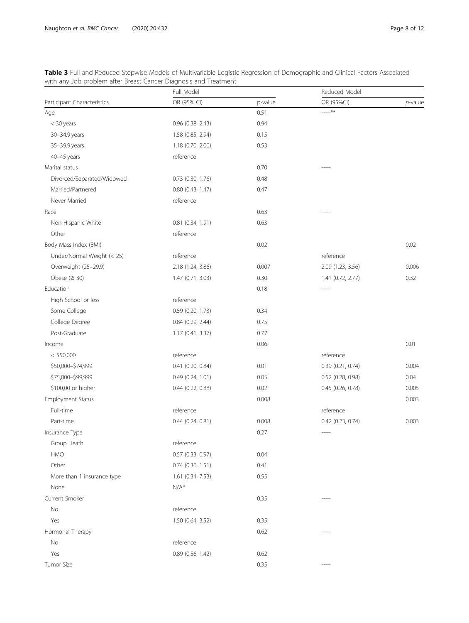|                             | Full Model            |         | Reduced Model     |            |
|-----------------------------|-----------------------|---------|-------------------|------------|
| Participant Characteristics | OR (95% CI)           | p-value | OR (95%CI)        | $p$ -value |
| Age                         |                       | 0.51    | $---**$           |            |
| < 30 years                  | 0.96 (0.38, 2.43)     | 0.94    |                   |            |
| 30-34.9 years               | 1.58 (0.85, 2.94)     | 0.15    |                   |            |
| 35-39.9 years               | 1.18 (0.70, 2.00)     | 0.53    |                   |            |
| 40-45 years                 | reference             |         |                   |            |
| Marital status              |                       | 0.70    |                   |            |
| Divorced/Separated/Widowed  | 0.73 (0.30, 1.76)     | 0.48    |                   |            |
| Married/Partnered           | 0.80 (0.43, 1.47)     | 0.47    |                   |            |
| Never Married               | reference             |         |                   |            |
| Race                        |                       | 0.63    |                   |            |
| Non-Hispanic White          | 0.81 (0.34, 1.91)     | 0.63    |                   |            |
| Other                       | reference             |         |                   |            |
| Body Mass Index (BMI)       |                       | 0.02    |                   | 0.02       |
| Under/Normal Weight (< 25)  | reference             |         | reference         |            |
| Overweight (25-29.9)        | 2.18 (1.24, 3.86)     | 0.007   | 2.09 (1.23, 3.56) | 0.006      |
| Obese $(2 30)$              | 1.47 (0.71, 3.03)     | 0.30    | 1.41 (0.72, 2.77) | 0.32       |
| Education                   |                       | 0.18    |                   |            |
| High School or less         | reference             |         |                   |            |
| Some College                | 0.59 (0.20, 1.73)     | 0.34    |                   |            |
| College Degree              | 0.84 (0.29, 2.44)     | 0.75    |                   |            |
| Post-Graduate               | 1.17 (0.41, 3.37)     | 0.77    |                   |            |
| Income                      |                       | 0.06    |                   | 0.01       |
| $<$ \$50,000                | reference             |         | reference         |            |
| \$50,000-\$74,999           | 0.41 (0.20, 0.84)     | 0.01    | 0.39(0.21, 0.74)  | 0.004      |
| \$75,000-\$99,999           | 0.49 (0.24, 1.01)     | 0.05    | 0.52 (0.28, 0.98) | 0.04       |
| \$100,00 or higher          | 0.44 (0.22, 0.88)     | 0.02    | 0.45 (0.26, 0.78) | 0.005      |
| Employment Status           |                       | 0.008   |                   | 0.003      |
| Full-time                   | reference             |         | reference         |            |
| Part-time                   | $0.44$ $(0.24, 0.81)$ | 0.008   | 0.42 (0.23, 0.74) | 0.003      |
| Insurance Type              |                       | 0.27    | $- - - - -$       |            |
| Group Heath                 | reference             |         |                   |            |
| <b>HMO</b>                  | 0.57 (0.33, 0.97)     | 0.04    |                   |            |
| Other                       | $0.74$ (0.36, 1.51)   | 0.41    |                   |            |
| More than 1 insurance type  | 1.61 (0.34, 7.53)     | 0.55    |                   |            |
| None                        | $N/A^a$               |         |                   |            |
| Current Smoker              |                       | 0.35    |                   |            |
| No                          | reference             |         |                   |            |
| Yes                         | 1.50 (0.64, 3.52)     | 0.35    |                   |            |
| Hormonal Therapy            |                       | 0.62    |                   |            |
| No                          | reference             |         |                   |            |
| Yes                         | 0.89 (0.56, 1.42)     | 0.62    |                   |            |
| Tumor Size                  |                       | 0.35    |                   |            |

<span id="page-7-0"></span>

| Table 3 Full and Reduced Stepwise Models of Multivariable Logistic Regression of Demographic and Clinical Factors Associated |  |
|------------------------------------------------------------------------------------------------------------------------------|--|
| with any Job problem after Breast Cancer Diagnosis and Treatment                                                             |  |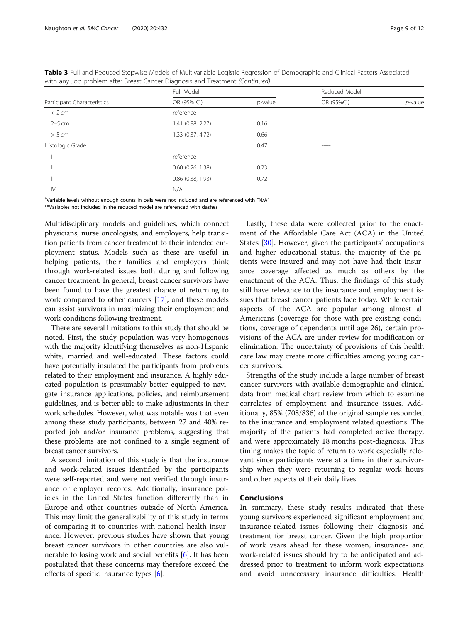|                             | Full Model            |         | Reduced Model |            |
|-----------------------------|-----------------------|---------|---------------|------------|
| Participant Characteristics | OR (95% CI)           | p-value | OR (95%CI)    | $p$ -value |
| $< 2$ cm                    | reference             |         |               |            |
| $2-5$ cm                    | 1.41 (0.88, 2.27)     | 0.16    |               |            |
| > 5 cm                      | 1.33 (0.37, 4.72)     | 0.66    |               |            |
| Histologic Grade            |                       | 0.47    | -----         |            |
|                             | reference             |         |               |            |
| $\mathbb{I}$                | $0.60$ $(0.26, 1.38)$ | 0.23    |               |            |
| $\mathbb{H}$                | $0.86$ $(0.38, 1.93)$ | 0.72    |               |            |
| $\mathsf{IV}$               | N/A                   |         |               |            |

Table 3 Full and Reduced Stepwise Models of Multivariable Logistic Regression of Demographic and Clinical Factors Associated with any Job problem after Breast Cancer Diagnosis and Treatment (Continued)

<sup>a</sup>Variable levels without enough counts in cells were not included and are referenced with "N/A"

\*\*Variables not included in the reduced model are referenced with dashes

Multidisciplinary models and guidelines, which connect physicians, nurse oncologists, and employers, help transition patients from cancer treatment to their intended employment status. Models such as these are useful in helping patients, their families and employers think through work-related issues both during and following cancer treatment. In general, breast cancer survivors have been found to have the greatest chance of returning to work compared to other cancers [\[17](#page-11-0)], and these models can assist survivors in maximizing their employment and work conditions following treatment.

There are several limitations to this study that should be noted. First, the study population was very homogenous with the majority identifying themselves as non-Hispanic white, married and well-educated. These factors could have potentially insulated the participants from problems related to their employment and insurance. A highly educated population is presumably better equipped to navigate insurance applications, policies, and reimbursement guidelines, and is better able to make adjustments in their work schedules. However, what was notable was that even among these study participants, between 27 and 40% reported job and/or insurance problems, suggesting that these problems are not confined to a single segment of breast cancer survivors.

A second limitation of this study is that the insurance and work-related issues identified by the participants were self-reported and were not verified through insurance or employer records. Additionally, insurance policies in the United States function differently than in Europe and other countries outside of North America. This may limit the generalizability of this study in terms of comparing it to countries with national health insurance. However, previous studies have shown that young breast cancer survivors in other countries are also vulnerable to losing work and social benefits [\[6](#page-10-0)]. It has been postulated that these concerns may therefore exceed the effects of specific insurance types [[6\]](#page-10-0).

Lastly, these data were collected prior to the enactment of the Affordable Care Act (ACA) in the United States [\[30\]](#page-11-0). However, given the participants' occupations and higher educational status, the majority of the patients were insured and may not have had their insurance coverage affected as much as others by the enactment of the ACA. Thus, the findings of this study still have relevance to the insurance and employment issues that breast cancer patients face today. While certain aspects of the ACA are popular among almost all Americans (coverage for those with pre-existing conditions, coverage of dependents until age 26), certain provisions of the ACA are under review for modification or elimination. The uncertainty of provisions of this health care law may create more difficulties among young cancer survivors.

Strengths of the study include a large number of breast cancer survivors with available demographic and clinical data from medical chart review from which to examine correlates of employment and insurance issues. Additionally, 85% (708/836) of the original sample responded to the insurance and employment related questions. The majority of the patients had completed active therapy, and were approximately 18 months post-diagnosis. This timing makes the topic of return to work especially relevant since participants were at a time in their survivorship when they were returning to regular work hours and other aspects of their daily lives.

# Conclusions

In summary, these study results indicated that these young survivors experienced significant employment and insurance-related issues following their diagnosis and treatment for breast cancer. Given the high proportion of work years ahead for these women, insurance- and work-related issues should try to be anticipated and addressed prior to treatment to inform work expectations and avoid unnecessary insurance difficulties. Health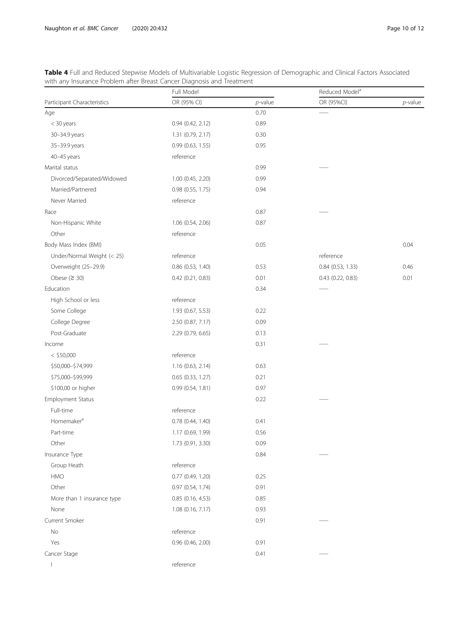| with any Insurance Problem after Breast Cancer Diagnosis and Treatment |                       |            |                            |            |
|------------------------------------------------------------------------|-----------------------|------------|----------------------------|------------|
|                                                                        | Full Model            |            | Reduced Model <sup>a</sup> |            |
| Participant Characteristics                                            | OR (95% CI)           | $p$ -value | OR (95%CI)                 | $p$ -value |
| Age                                                                    |                       | 0.70       | $- - - - -$                |            |
| < 30 years                                                             | 0.94(0.42, 2.12)      | 0.89       |                            |            |
| 30-34.9 years                                                          | 1.31 (0.79, 2.17)     | 0.30       |                            |            |
| 35-39.9 years                                                          | $0.99$ (0.63, 1.55)   | 0.95       |                            |            |
| 40-45 years                                                            | reference             |            |                            |            |
| Marital status                                                         |                       | 0.99       |                            |            |
| Divorced/Separated/Widowed                                             | 1.00 (0.45, 2.20)     | 0.99       |                            |            |
| Married/Partnered                                                      | 0.98 (0.55, 1.75)     | 0.94       |                            |            |
| Never Married                                                          | reference             |            |                            |            |
| Race                                                                   |                       | 0.87       |                            |            |
| Non-Hispanic White                                                     | 1.06 (0.54, 2.06)     | 0.87       |                            |            |
| Other                                                                  | reference             |            |                            |            |
| Body Mass Index (BMI)                                                  |                       | 0.05       |                            | 0.04       |
| Under/Normal Weight (< 25)                                             | reference             |            | reference                  |            |
| Overweight (25-29.9)                                                   | 0.86 (0.53, 1.40)     | 0.53       | $0.84$ (0.53, 1.33)        | 0.46       |
| Obese $(≥ 30)$                                                         | $0.42$ $(0.21, 0.83)$ | 0.01       | 0.43 (0.22, 0.83)          | 0.01       |
| Education                                                              |                       | 0.34       |                            |            |
| High School or less                                                    | reference             |            |                            |            |
| Some College                                                           | 1.93 (0.67, 5.53)     | 0.22       |                            |            |
| College Degree                                                         | 2.50 (0.87, 7.17)     | 0.09       |                            |            |
| Post-Graduate                                                          | 2.29 (0.79, 6.65)     | 0.13       |                            |            |
| Income                                                                 |                       | 0.31       |                            |            |
| $<$ \$50,000                                                           | reference             |            |                            |            |
| \$50,000-\$74,999                                                      | 1.16 (0.63, 2.14)     | 0.63       |                            |            |
| \$75,000-\$99,999                                                      | $0.65$ $(0.33, 1.27)$ | 0.21       |                            |            |
| \$100,00 or higher                                                     | 0.99 (0.54, 1.81)     | 0.97       |                            |            |
| Employment Status                                                      |                       | 0.22       |                            |            |
| Full-time                                                              | reference             |            |                            |            |
| Homemaker <sup>a</sup>                                                 | $0.78$ $(0.44, 1.40)$ | 0.41       |                            |            |
| Part-time                                                              | 1.17 (0.69, 1.99)     | 0.56       |                            |            |
| Other                                                                  | 1.73 (0.91, 3.30)     | 0.09       |                            |            |
| Insurance Type                                                         |                       | 0.84       |                            |            |
| Group Heath                                                            | reference             |            |                            |            |
| <b>HMO</b>                                                             | 0.77 (0.49, 1.20)     | 0.25       |                            |            |
| Other                                                                  | 0.97 (0.54, 1.74)     | 0.91       |                            |            |
| More than 1 insurance type                                             | $0.85$ (0.16, 4.53)   | 0.85       |                            |            |
| None                                                                   | 1.08 (0.16, 7.17)     | 0.93       |                            |            |
| Current Smoker                                                         |                       | 0.91       |                            |            |
| No                                                                     | reference             |            |                            |            |
| Yes                                                                    | 0.96 (0.46, 2.00)     | 0.91       |                            |            |
| Cancer Stage                                                           |                       | 0.41       |                            |            |
| $\overline{\phantom{a}}$                                               | reference             |            |                            |            |

<span id="page-9-0"></span>Table 4 Full and Reduced Stepwise Models of Multivariable Logistic Regression of Demographic and Clinical Factors Associated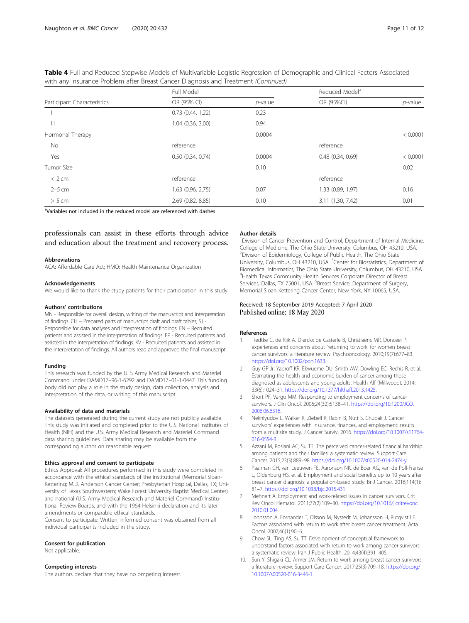| with any Insurance Problem after Breast Cancer Diagnosis and Treatment (Continued) |                     |            |                            |            |  |
|------------------------------------------------------------------------------------|---------------------|------------|----------------------------|------------|--|
|                                                                                    | Full Model          |            | Reduced Model <sup>a</sup> |            |  |
| Participant Characteristics                                                        | OR (95% CI)         | $p$ -value | OR (95%CI)                 | $p$ -value |  |
| $\mathbb{H}$                                                                       | 0.73(0.44, 1.22)    | 0.23       |                            |            |  |
| $\mathbb{H}$                                                                       | $1.04$ (0.36, 3.00) | 0.94       |                            |            |  |
| Hormonal Therapy                                                                   |                     | 0.0004     |                            | < 0.0001   |  |
| No                                                                                 | reference           |            | reference                  |            |  |
| Yes                                                                                | 0.50(0.34, 0.74)    | 0.0004     | 0.48(0.34, 0.69)           | < 0.0001   |  |
| Tumor Size                                                                         |                     | 0.10       |                            | 0.02       |  |
| < 2 cm                                                                             | reference           |            | reference                  |            |  |
| $2-5$ cm                                                                           | 1.63 (0.96, 2.75)   | 0.07       | 1.33 (0.89, 1.97)          | 0.16       |  |
| > 5 cm                                                                             | $2.69$ (0.82, 8.85) | 0.10       | 3.11 (1.30, 7.42)          | 0.01       |  |

<span id="page-10-0"></span>Table 4 Full and Reduced Stepwise Models of Multivariable Logistic Regression of Demographic and Clinical Factors Associated with any Insurance Problem after Breast Cancer Diagnosis and Treatment (Continued)

<sup>a</sup>Variables not included in the reduced model are referenced with dashes

# professionals can assist in these efforts through advice and education about the treatment and recovery process.

#### Abbreviations

ACA: Affordable Care Act; HMO: Health Maintenance Organization

# Acknowledgements

We would like to thank the study patients for their participation in this study.

#### Authors' contributions

MN - Responsible for overall design, writing of the manuscript and interpretation of findings. CH – Prepared parts of manuscript draft and draft tables; SJ - Responsible for data analyses and interpretation of findings. EN – Recruited patients and assisted in the interpretation of findings. EP - Recruited patients and assisted in the interpretation of findings. KV - Recruited patients and assisted in the interpretation of findings. All authors read and approved the final manuscript.

#### Funding

This research was funded by the U. S Army Medical Research and Materiel Command under DAMD17–96-1-6292 and DAMD17–01-1-0447. This funding body did not play a role in the study design, data collection, analysis and interpretation of the data, or writing of this manuscript.

#### Availability of data and materials

The datasets generated during the current study are not publicly available. This study was initiated and completed prior to the U.S. National Institutes of Health (NIH) and the U.S. Army Medical Research and Materiel Command data sharing guidelines. Data sharing may be available from the corresponding author on reasonable request.

#### Ethics approval and consent to participate

Ethics Approval: All procedures performed in this study were completed in accordance with the ethical standards of the institutional (Memorial Sloan-Kettering; M.D. Anderson Cancer Center; Presbyterian Hospital, Dallas, TX; University of Texas Southwestern; Wake Forest University Baptist Medical Center) and national (U.S. Army Medical Research and Materiel Command) Institutional Review Boards, and with the 1964 Helsinki declaration and its later amendments or comparable ethical standards.

Consent to participate: Written, informed consent was obtained from all individual participants included in the study.

#### Consent for publication

Not applicable.

#### Competing interests

The authors declare that they have no ompeting interest.

#### Author details

<sup>1</sup> Division of Cancer Prevention and Control, Department of Internal Medicine, College of Medicine, The Ohio State University, Columbus, OH 43210, USA. <sup>2</sup> Division of Epidemiology, College of Public Health, The Ohio State University, Columbus, OH 43210, USA. <sup>3</sup>Center for Biostatistics, Department of Biomedical Informatics, The Ohio State University, Columbus, OH 43210, USA. 4 Health Texas Community Health Services Corporate Director of Breast Services, Dallas, TX 75001, USA. <sup>5</sup>Breast Service, Department of Surgery Memorial Sloan Kettering Cancer Center, New York, NY 10065, USA.

## Received: 18 September 2019 Accepted: 7 April 2020 Published online: 18 May 2020

#### References

- 1. Tiedtke C, de Rijk A. Dierckx de Casterle B, Christiaens MR, Donceel P. experiences and concerns about 'returning to work' for women breast cancer survivors: a literature review. Psychooncology. 2010;19(7):677–83. <https://doi.org/10.1002/pon.1633>.
- 2. Guy GP Jr, Yabroff KR, Ekwueme DU, Smith AW, Dowling EC, Rechis R, et al. Estimating the health and economic burden of cancer among those diagnosed as adolescents and young adults. Health Aff (Millwood). 2014; 33(6):1024–31. <https://doi.org/10.1377/hlthaff.2013.1425>.
- 3. Short PF, Vargo MM. Responding to employment concerns of cancer survivors. J Clin Oncol. 2006;24(32):5138–41. [https://doi.org/10.1200/JCO.](https://doi.org/10.1200/JCO.2006.06.6316) [2006.06.6316](https://doi.org/10.1200/JCO.2006.06.6316).
- 4. Nekhlyudov L, Walker R, Ziebell R, Rabin B, Nutt S, Chubak J. Cancer survivors' experiences with insurance, finances, and employment: results from a multisite study. J Cancer Surviv. 2016. [https://doi.org/10.1007/s11764-](https://doi.org/10.1007/s11764-016-0554-3) [016-0554-3](https://doi.org/10.1007/s11764-016-0554-3).
- 5. Azzani M, Roslani AC, Su TT. The perceived cancer-related financial hardship among patients and their families: a systematic review. Support Care Cancer. 2015;23(3):889–98. [https://doi.org/10.1007/s00520-014-2474-y.](https://doi.org/10.1007/s00520-014-2474-y)
- 6. Paalman CH, van Leeuwen FE, Aaronson NK, de Boer AG, van de Poll-Franse L, Oldenburg HS, et al. Employment and social benefits up to 10 years after breast cancer diagnosis: a population-based study. Br J Cancer. 2016;114(1): 81–7. [https://doi.org/10.1038/bjc.2015.431.](https://doi.org/10.1038/bjc.2015.431)
- 7. Mehnert A. Employment and work-related issues in cancer survivors. Crit Rev Oncol Hematol. 2011;77(2):109–30. [https://doi.org/10.1016/j.critrevonc.](https://doi.org/10.1016/j.critrevonc.2010.01.004) [2010.01.004.](https://doi.org/10.1016/j.critrevonc.2010.01.004)
- 8. Johnsson A, Fornander T, Olsson M, Nystedt M, Johansson H, Rutqvist LE. Factors associated with return to work after breast cancer treatment. Acta Oncol. 2007;46(1):90–6.
- 9. Chow SL, Ting AS, Su TT. Development of conceptual framework to understand factors associated with return to work among cancer survivors: a systematic review. Iran J Public Health. 2014;43(4):391–405.
- 10. Sun Y, Shigaki CL, Armer JM. Return to work among breast cancer survivors: a literature review. Support Care Cancer. 2017;25(3):709–18. [https://doi.org/](https://doi.org/10.1007/s00520-016-3446-1) [10.1007/s00520-016-3446-1](https://doi.org/10.1007/s00520-016-3446-1).